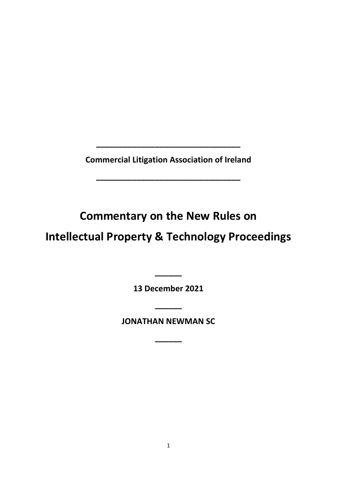**Commercial Litigation Association of Ireland**

**\_\_\_\_\_\_\_\_\_\_\_\_\_\_\_\_\_\_\_\_\_\_\_\_\_\_\_\_\_\_\_\_**

**\_\_\_\_\_\_\_\_\_\_\_\_\_\_\_\_\_\_\_\_\_\_\_\_\_\_\_\_\_\_\_\_**

**Commentary on the New Rules on**

# **Intellectual Property & Technology Proceedings**

**13 December 2021**

**\_\_\_\_\_\_**

**JONATHAN NEWMAN SC**

**\_\_\_\_\_\_**

**\_\_\_\_\_\_**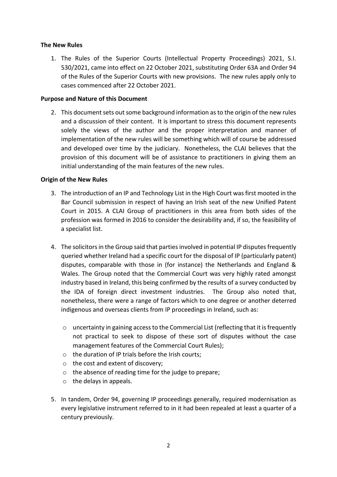# **The New Rules**

1. The Rules of the Superior Courts (Intellectual Property Proceedings) 2021, S.I. 530/2021, came into effect on 22 October 2021, substituting Order 63A and Order 94 of the Rules of the Superior Courts with new provisions. The new rules apply only to cases commenced after 22 October 2021.

## **Purpose and Nature of this Document**

2. This document sets out some background information as to the origin of the new rules and a discussion of their content. It is important to stress this document represents solely the views of the author and the proper interpretation and manner of implementation of the new rules will be something which will of course be addressed and developed over time by the judiciary. Nonetheless, the CLAI believes that the provision of this document will be of assistance to practitioners in giving them an initial understanding of the main features of the new rules.

# **Origin of the New Rules**

- 3. The introduction of an IP and Technology List in the High Court was first mooted in the Bar Council submission in respect of having an Irish seat of the new Unified Patent Court in 2015. A CLAI Group of practitioners in this area from both sides of the profession was formed in 2016 to consider the desirability and, if so, the feasibility of a specialist list.
- 4. The solicitors in the Group said that parties involved in potential IP disputes frequently queried whether Ireland had a specific court for the disposal of IP (particularly patent) disputes, comparable with those in (for instance) the Netherlands and England & Wales. The Group noted that the Commercial Court was very highly rated amongst industry based in Ireland, this being confirmed by the results of a survey conducted by the IDA of foreign direct investment industries. The Group also noted that, nonetheless, there were a range of factors which to one degree or another deterred indigenous and overseas clients from IP proceedings in Ireland, such as:
	- $\circ$  uncertainty in gaining access to the Commercial List (reflecting that it is frequently not practical to seek to dispose of these sort of disputes without the case management features of the Commercial Court Rules);
	- o the duration of IP trials before the Irish courts;
	- o the cost and extent of discovery;
	- o the absence of reading time for the judge to prepare;
	- $\circ$  the delays in appeals.
- 5. In tandem, Order 94, governing IP proceedings generally, required modernisation as every legislative instrument referred to in it had been repealed at least a quarter of a century previously.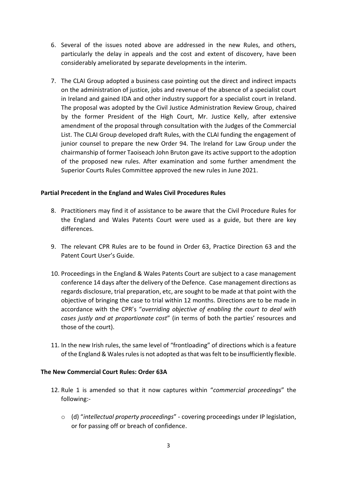- 6. Several of the issues noted above are addressed in the new Rules, and others, particularly the delay in appeals and the cost and extent of discovery, have been considerably ameliorated by separate developments in the interim.
- 7. The CLAI Group adopted a business case pointing out the direct and indirect impacts on the administration of justice, jobs and revenue of the absence of a specialist court in Ireland and gained IDA and other industry support for a specialist court in Ireland. The proposal was adopted by the Civil Justice Administration Review Group, chaired by the former President of the High Court, Mr. Justice Kelly, after extensive amendment of the proposal through consultation with the Judges of the Commercial List. The CLAI Group developed draft Rules, with the CLAI funding the engagement of junior counsel to prepare the new Order 94. The Ireland for Law Group under the chairmanship of former Taoiseach John Bruton gave its active support to the adoption of the proposed new rules. After examination and some further amendment the Superior Courts Rules Committee approved the new rules in June 2021.

# **Partial Precedent in the England and Wales Civil Procedures Rules**

- 8. Practitioners may find it of assistance to be aware that the Civil Procedure Rules for the England and Wales Patents Court were used as a guide, but there are key differences.
- 9. The relevant CPR Rules are to be found in Order 63, Practice Direction 63 and the Patent Court User's Guide.
- 10. Proceedings in the England & Wales Patents Court are subject to a case management conference 14 days after the delivery of the Defence. Case management directions as regards disclosure, trial preparation, etc, are sought to be made at that point with the objective of bringing the case to trial within 12 months. Directions are to be made in accordance with the CPR's "*overriding objective of enabling the court to deal with cases justly and at proportionate cost*" (in terms of both the parties' resources and those of the court).
- 11. In the new Irish rules, the same level of "frontloading" of directions which is a feature of the England & Wales rules is not adopted as that was felt to be insufficiently flexible.

### **The New Commercial Court Rules: Order 63A**

- 12. Rule 1 is amended so that it now captures within "*commercial proceedings*" the following:
	- o (d) "*intellectual property proceedings*" covering proceedings under IP legislation, or for passing off or breach of confidence.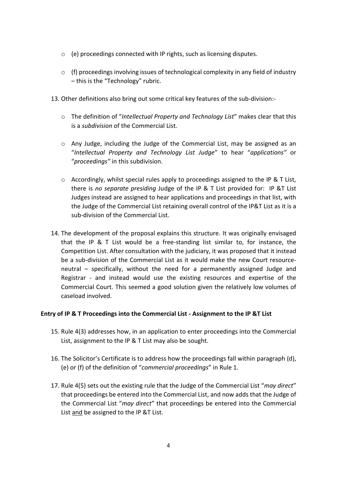- o (e) proceedings connected with IP rights, such as licensing disputes.
- $\circ$  (f) proceedings involving issues of technological complexity in any field of industry – this is the "Technology" rubric.
- 13. Other definitions also bring out some critical key features of the sub-division:
	- o The definition of "*Intellectual Property and Technology List*" makes clear that this is a *subdivision* of the Commercial List.
	- o Any Judge, including the Judge of the Commercial List, may be assigned as an "*Intellectual Property and Technology List Judge*" to hear "*applications"* or "*proceedings"* in this subdivision.
	- $\circ$  Accordingly, whilst special rules apply to proceedings assigned to the IP & T List, there is *no separate presiding* Judge of the IP & T List provided for: IP &T List Judges instead are assigned to hear applications and proceedings in that list, with the Judge of the Commercial List retaining overall control of the IP&T List as it is a sub-division of the Commercial List.
- 14. The development of the proposal explains this structure. It was originally envisaged that the IP & T List would be a free-standing list similar to, for instance, the Competition List. After consultation with the judiciary, it was proposed that it instead be a sub-division of the Commercial List as it would make the new Court resourceneutral – specifically, without the need for a permanently assigned Judge and Registrar - and instead would use the existing resources and expertise of the Commercial Court. This seemed a good solution given the relatively low volumes of caseload involved.

### **Entry of IP & T Proceedings into the Commercial List - Assignment to the IP &T List**

- 15. Rule 4(3) addresses how, in an application to enter proceedings into the Commercial List, assignment to the IP & T List may also be sought.
- 16. The Solicitor's Certificate is to address how the proceedings fall within paragraph (d), (e) or (f) of the definition of "*commercial proceedings*" in Rule 1.
- 17. Rule 4(5) sets out the existing rule that the Judge of the Commercial List "*may direct*" that proceedings be entered into the Commercial List, and now adds that the Judge of the Commercial List "*may direct*" that proceedings be entered into the Commercial List and be assigned to the IP &T List.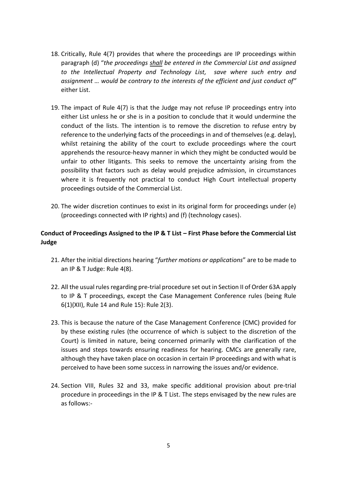- 18. Critically, Rule 4(7) provides that where the proceedings are IP proceedings within paragraph (d) "*the proceedings shall be entered in the Commercial List and assigned to the Intellectual Property and Technology List, save where such entry and assignment … would be contrary to the interests of the efficient and just conduct of"* either List.
- 19. The impact of Rule 4(7) is that the Judge may not refuse IP proceedings entry into either List unless he or she is in a position to conclude that it would undermine the conduct of the lists. The intention is to remove the discretion to refuse entry by reference to the underlying facts of the proceedings in and of themselves (e.g. delay), whilst retaining the ability of the court to exclude proceedings where the court apprehends the resource-heavy manner in which they might be conducted would be unfair to other litigants. This seeks to remove the uncertainty arising from the possibility that factors such as delay would prejudice admission, in circumstances where it is frequently not practical to conduct High Court intellectual property proceedings outside of the Commercial List.
- 20. The wider discretion continues to exist in its original form for proceedings under (e) (proceedings connected with IP rights) and (f) (technology cases).

# **Conduct of Proceedings Assigned to the IP & T List – First Phase before the Commercial List Judge**

- 21. After the initial directions hearing "*further motions or applications*" are to be made to an IP & T Judge: Rule 4(8).
- 22. All the usual rules regarding pre-trial procedure set out in Section II of Order 63A apply to IP & T proceedings, except the Case Management Conference rules (being Rule 6(1)(XII), Rule 14 and Rule 15): Rule 2(3).
- 23. This is because the nature of the Case Management Conference (CMC) provided for by these existing rules (the occurrence of which is subject to the discretion of the Court) is limited in nature, being concerned primarily with the clarification of the issues and steps towards ensuring readiness for hearing. CMCs are generally rare, although they have taken place on occasion in certain IP proceedings and with what is perceived to have been some success in narrowing the issues and/or evidence.
- 24. Section VIII, Rules 32 and 33, make specific additional provision about pre-trial procedure in proceedings in the IP & T List. The steps envisaged by the new rules are as follows:-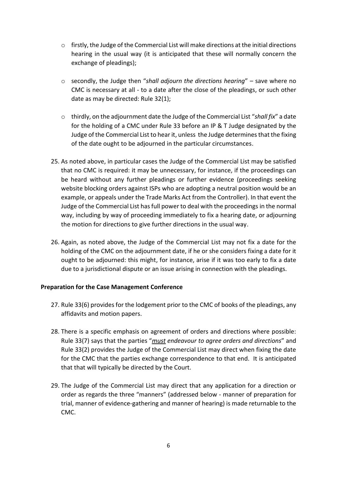- $\circ$  firstly, the Judge of the Commercial List will make directions at the initial directions hearing in the usual way (it is anticipated that these will normally concern the exchange of pleadings);
- o secondly, the Judge then "*shall adjourn the directions hearing*" save where no CMC is necessary at all - to a date after the close of the pleadings, or such other date as may be directed: Rule 32(1);
- o thirdly, on the adjournment date the Judge of the Commercial List "*shall fix*" a date for the holding of a CMC under Rule 33 before an IP & T Judge designated by the Judge of the Commercial List to hear it, unless the Judge determines that the fixing of the date ought to be adjourned in the particular circumstances.
- 25. As noted above, in particular cases the Judge of the Commercial List may be satisfied that no CMC is required: it may be unnecessary, for instance, if the proceedings can be heard without any further pleadings or further evidence (proceedings seeking website blocking orders against ISPs who are adopting a neutral position would be an example, or appeals under the Trade Marks Act from the Controller). In that event the Judge of the Commercial List has full power to deal with the proceedings in the normal way, including by way of proceeding immediately to fix a hearing date, or adjourning the motion for directions to give further directions in the usual way.
- 26. Again, as noted above, the Judge of the Commercial List may not fix a date for the holding of the CMC on the adjournment date, if he or she considers fixing a date for it ought to be adjourned: this might, for instance, arise if it was too early to fix a date due to a jurisdictional dispute or an issue arising in connection with the pleadings.

# **Preparation for the Case Management Conference**

- 27. Rule 33(6) provides for the lodgement prior to the CMC of books of the pleadings, any affidavits and motion papers.
- 28. There is a specific emphasis on agreement of orders and directions where possible: Rule 33(7) says that the parties "*must endeavour to agree orders and directions*" and Rule 33(2) provides the Judge of the Commercial List may direct when fixing the date for the CMC that the parties exchange correspondence to that end. It is anticipated that that will typically be directed by the Court.
- 29. The Judge of the Commercial List may direct that any application for a direction or order as regards the three "manners" (addressed below - manner of preparation for trial, manner of evidence-gathering and manner of hearing) is made returnable to the CMC.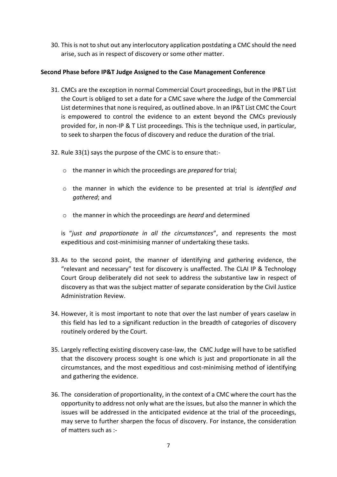30. This is not to shut out any interlocutory application postdating a CMC should the need arise, such as in respect of discovery or some other matter.

# **Second Phase before IP&T Judge Assigned to the Case Management Conference**

- 31. CMCs are the exception in normal Commercial Court proceedings, but in the IP&T List the Court is obliged to set a date for a CMC save where the Judge of the Commercial List determines that none is required, as outlined above. In an IP&T List CMC the Court is empowered to control the evidence to an extent beyond the CMCs previously provided for, in non-IP & T List proceedings. This is the technique used, in particular, to seek to sharpen the focus of discovery and reduce the duration of the trial.
- 32. Rule 33(1) says the purpose of the CMC is to ensure that:
	- o the manner in which the proceedings are *prepared* for trial;
	- o the manner in which the evidence to be presented at trial is *identified and gathered*; and
	- o the manner in which the proceedings are *heard* and determined

is "*just and proportionate in all the circumstances*", and represents the most expeditious and cost-minimising manner of undertaking these tasks.

- 33. As to the second point, the manner of identifying and gathering evidence, the "relevant and necessary" test for discovery is unaffected. The CLAI IP & Technology Court Group deliberately did not seek to address the substantive law in respect of discovery as that was the subject matter of separate consideration by the Civil Justice Administration Review.
- 34. However, it is most important to note that over the last number of years caselaw in this field has led to a significant reduction in the breadth of categories of discovery routinely ordered by the Court.
- 35. Largely reflecting existing discovery case-law, the CMC Judge will have to be satisfied that the discovery process sought is one which is just and proportionate in all the circumstances, and the most expeditious and cost-minimising method of identifying and gathering the evidence.
- 36. The consideration of proportionality, in the context of a CMC where the court has the opportunity to address not only what are the issues, but also the manner in which the issues will be addressed in the anticipated evidence at the trial of the proceedings, may serve to further sharpen the focus of discovery. For instance, the consideration of matters such as :-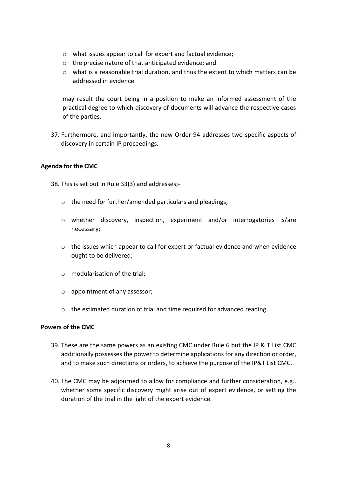- o what issues appear to call for expert and factual evidence;
- o the precise nature of that anticipated evidence; and
- $\circ$  what is a reasonable trial duration, and thus the extent to which matters can be addressed in evidence

may result the court being in a position to make an informed assessment of the practical degree to which discovery of documents will advance the respective cases of the parties.

37. Furthermore, and importantly, the new Order 94 addresses two specific aspects of discovery in certain IP proceedings.

# **Agenda for the CMC**

- 38. This is set out in Rule 33(3) and addresses;
	- o the need for further/amended particulars and pleadings;
	- o whether discovery, inspection, experiment and/or interrogatories is/are necessary;
	- o the issues which appear to call for expert or factual evidence and when evidence ought to be delivered;
	- o modularisation of the trial;
	- o appointment of any assessor;
	- $\circ$  the estimated duration of trial and time required for advanced reading.

### **Powers of the CMC**

- 39. These are the same powers as an existing CMC under Rule 6 but the IP & T List CMC additionally possesses the power to determine applications for any direction or order, and to make such directions or orders, to achieve the purpose of the IP&T List CMC.
- 40. The CMC may be adjourned to allow for compliance and further consideration, e.g., whether some specific discovery might arise out of expert evidence, or setting the duration of the trial in the light of the expert evidence.